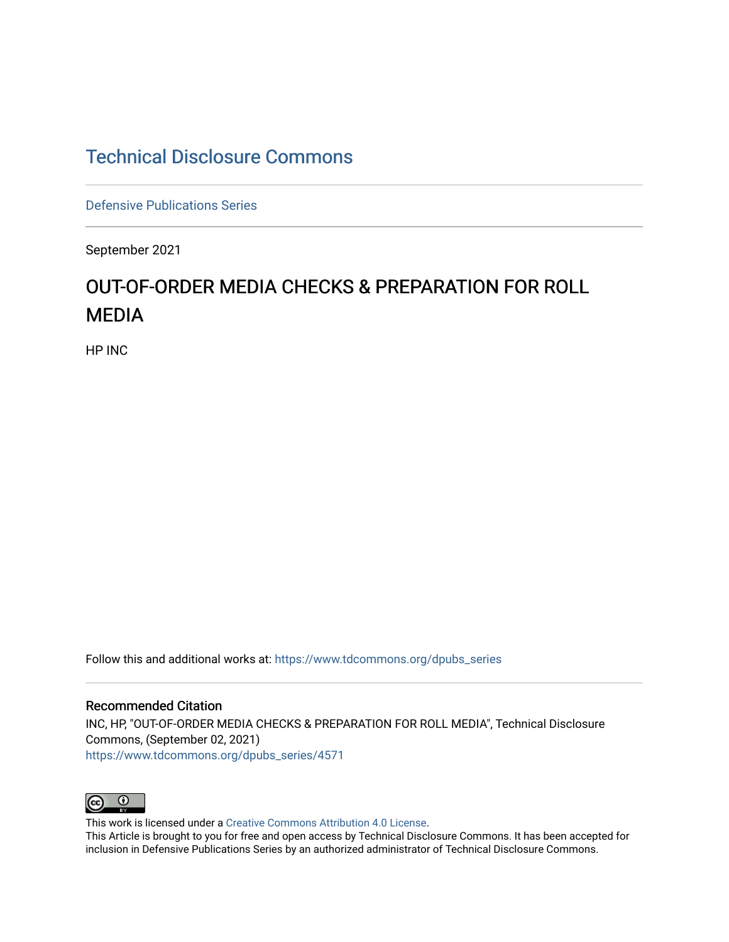## [Technical Disclosure Commons](https://www.tdcommons.org/)

[Defensive Publications Series](https://www.tdcommons.org/dpubs_series)

September 2021

# OUT-OF-ORDER MEDIA CHECKS & PREPARATION FOR ROLL MEDIA

HP INC

Follow this and additional works at: [https://www.tdcommons.org/dpubs\\_series](https://www.tdcommons.org/dpubs_series?utm_source=www.tdcommons.org%2Fdpubs_series%2F4571&utm_medium=PDF&utm_campaign=PDFCoverPages) 

#### Recommended Citation

INC, HP, "OUT-OF-ORDER MEDIA CHECKS & PREPARATION FOR ROLL MEDIA", Technical Disclosure Commons, (September 02, 2021) [https://www.tdcommons.org/dpubs\\_series/4571](https://www.tdcommons.org/dpubs_series/4571?utm_source=www.tdcommons.org%2Fdpubs_series%2F4571&utm_medium=PDF&utm_campaign=PDFCoverPages)



This work is licensed under a [Creative Commons Attribution 4.0 License](http://creativecommons.org/licenses/by/4.0/deed.en_US).

This Article is brought to you for free and open access by Technical Disclosure Commons. It has been accepted for inclusion in Defensive Publications Series by an authorized administrator of Technical Disclosure Commons.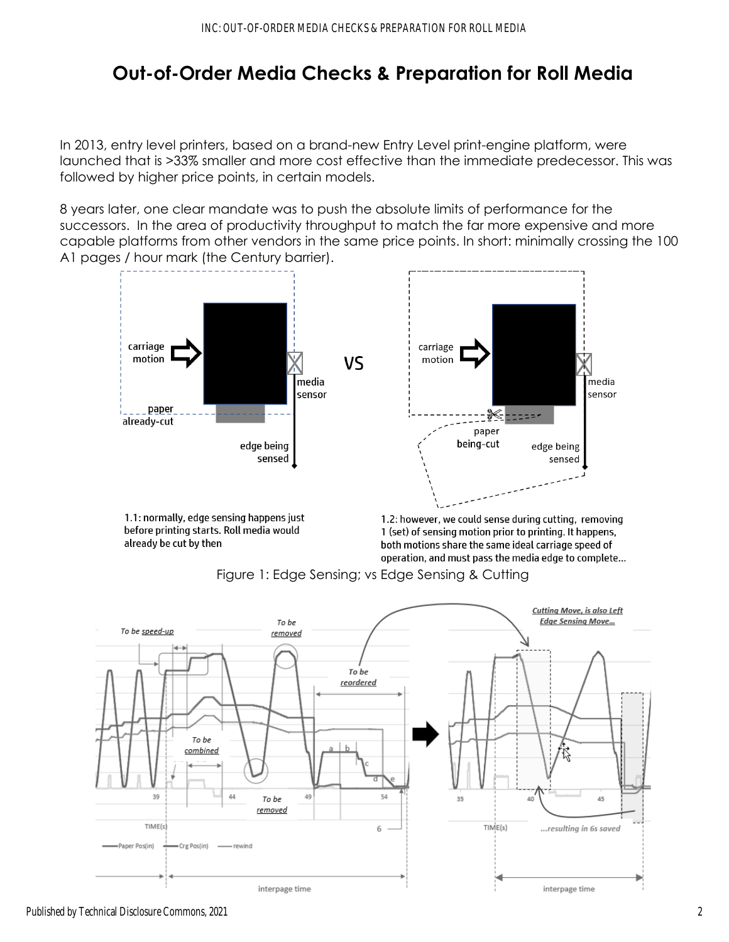# **Out-of-Order Media Checks & Preparation for Roll Media**

In 2013, entry level printers, based on a brand-new Entry Level print-engine platform, were launched that is >33% smaller and more cost effective than the immediate predecessor. This was followed by higher price points, in certain models.

8 years later, one clear mandate was to push the absolute limits of performance for the successors. In the area of productivity throughput to match the far more expensive and more capable platforms from other vendors in the same price points. In short: minimally crossing the 100 A1 pages / hour mark (the Century barrier).



1.1: normally, edge sensing happens just before printing starts. Roll media would already be cut by then

1.2: however, we could sense during cutting, removing 1 (set) of sensing motion prior to printing. It happens, both motions share the same ideal carriage speed of operation, and must pass the media edge to complete...



Figure 1: Edge Sensing; vs Edge Sensing & Cutting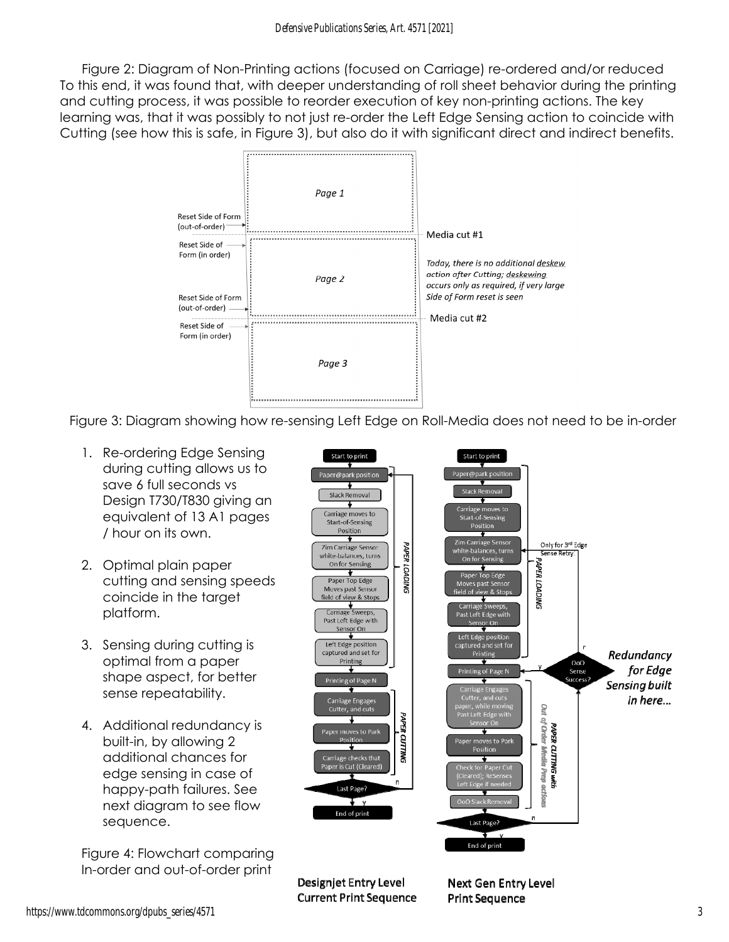Figure 2: Diagram of Non-Printing actions (focused on Carriage) re-ordered and/or reduced To this end, it was found that, with deeper understanding of roll sheet behavior during the printing and cutting process, it was possible to reorder execution of key non-printing actions. The key learning was, that it was possibly to not just re-order the Left Edge Sensing action to coincide with Cutting (see how this is safe, in Figure 3), but also do it with significant direct and indirect benefits.



Figure 3: Diagram showing how re-sensing Left Edge on Roll-Media does not need to be in-order

- 1. Re-ordering Edge Sensing during cutting allows us to save 6 full seconds vs Design T730/T830 giving an equivalent of 13 A1 pages / hour on its own.
- 2. Optimal plain paper cutting and sensing speeds coincide in the target platform.
- 3. Sensing during cutting is optimal from a paper shape aspect, for better sense repeatability.
- 4. Additional redundancy is built-in, by allowing 2 additional chances for edge sensing in case of happy-path failures. See next diagram to see flow sequence.

Figure 4: Flowchart comparing In-order and out-of-order print



Designjet Entry Level **Current Print Sequence** 

Next Gen Entry Level **Print Sequence**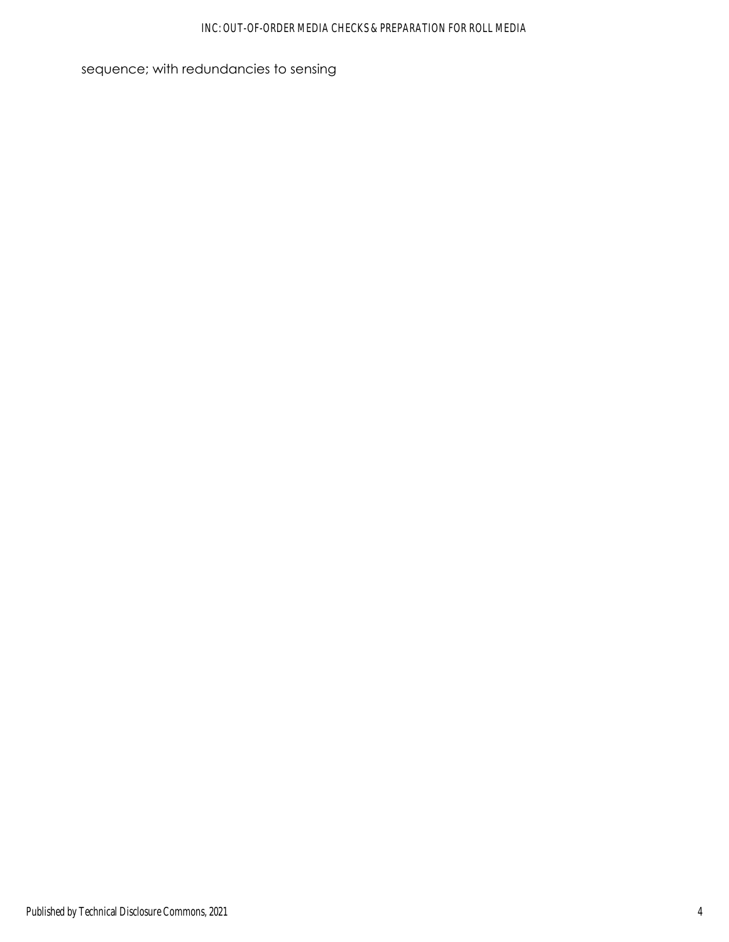#### INC: OUT-OF-ORDER MEDIA CHECKS & PREPARATION FOR ROLL MEDIA

sequence; with redundancies to sensing